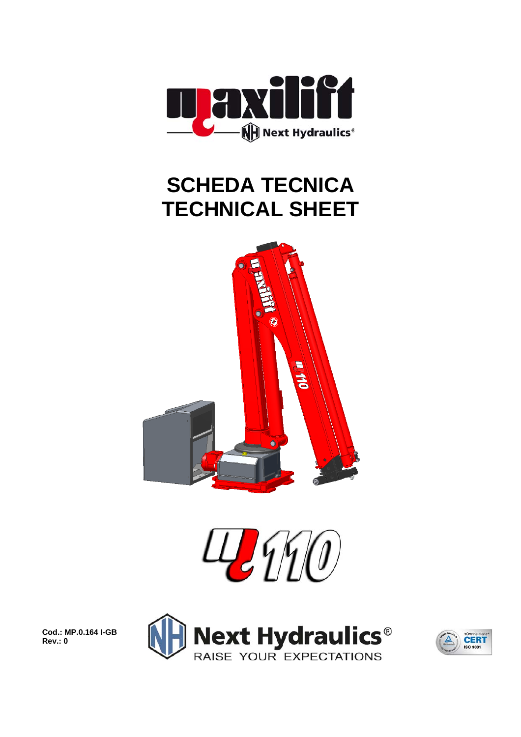

## **SCHEDA TECNICA TECHNICAL SHEET**





**Cod.: MP.0.164 I-GB Rev.: 0** 



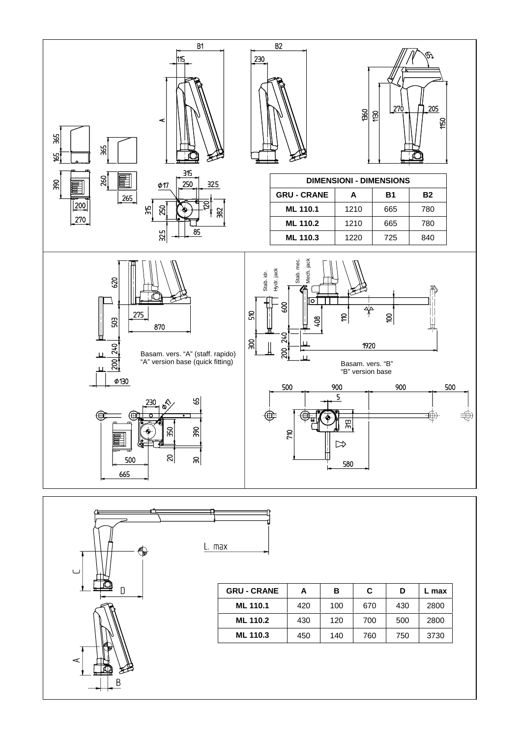



| <b>GRU - CRANE</b> | Α   | в   | С   | D   | L max |  |
|--------------------|-----|-----|-----|-----|-------|--|
| ML 110.1           | 420 | 100 | 670 | 430 | 2800  |  |
| <b>ML 110.2</b>    | 430 | 120 | 700 | 500 | 2800  |  |
| ML 110.3           | 450 | 140 | 760 | 750 | 3730  |  |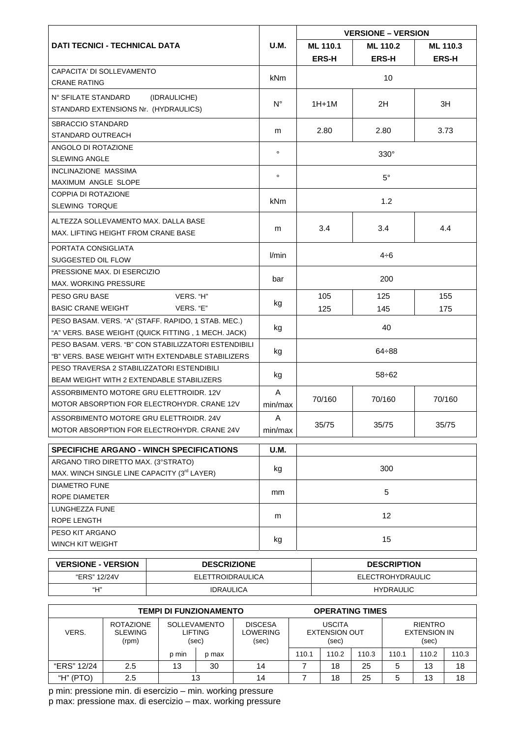|                                                                                                            |              | <b>VERSIONE - VERSION</b> |              |            |  |  |
|------------------------------------------------------------------------------------------------------------|--------------|---------------------------|--------------|------------|--|--|
| <b>DATI TECNICI - TECHNICAL DATA</b>                                                                       | U.M.         | <b>ML 110.1</b>           | ML 110.3     |            |  |  |
|                                                                                                            |              | <b>ERS-H</b>              | <b>ERS-H</b> | ERS-H      |  |  |
| CAPACITA' DI SOLLEVAMENTO<br><b>CRANE RATING</b>                                                           | kNm          | 10                        |              |            |  |  |
| N° SFILATE STANDARD<br>(IDRAULICHE)<br>STANDARD EXTENSIONS Nr. (HYDRAULICS)                                | $N^{\circ}$  | $1H+1M$                   | 3H           |            |  |  |
| SBRACCIO STANDARD<br>STANDARD OUTREACH                                                                     | m            | 2.80                      | 3.73         |            |  |  |
| ANGOLO DI ROTAZIONE<br><b>SLEWING ANGLE</b>                                                                | $\circ$      | $330^\circ$               |              |            |  |  |
| <b>INCLINAZIONE MASSIMA</b><br>MAXIMUM ANGLE SLOPE                                                         | $\circ$      | $5^{\circ}$               |              |            |  |  |
| <b>COPPIA DI ROTAZIONE</b><br><b>SLEWING TORQUE</b>                                                        | kNm          | 1.2                       |              |            |  |  |
| ALTEZZA SOLLEVAMENTO MAX. DALLA BASE<br>MAX. LIFTING HEIGHT FROM CRANE BASE                                | m            | 3.4<br>4.4<br>3.4         |              |            |  |  |
| PORTATA CONSIGLIATA<br>SUGGESTED OIL FLOW                                                                  | l/min        | $4\div 6$                 |              |            |  |  |
| PRESSIONE MAX. DI ESERCIZIO<br><b>MAX. WORKING PRESSURE</b>                                                | bar          | 200                       |              |            |  |  |
| PESO GRU BASE<br>VERS. "H"<br><b>BASIC CRANE WEIGHT</b><br>VERS. "E"                                       | kg           | 105<br>125                | 125<br>145   | 155<br>175 |  |  |
| PESO BASAM. VERS. "A" (STAFF. RAPIDO, 1 STAB. MEC.)<br>"A" VERS. BASE WEIGHT (QUICK FITTING, 1 MECH. JACK) | kg           | 40                        |              |            |  |  |
| PESO BASAM. VERS. "B" CON STABILIZZATORI ESTENDIBILI<br>"B" VERS. BASE WEIGHT WITH EXTENDABLE STABILIZERS  | kg           | $64 \div 88$              |              |            |  |  |
| PESO TRAVERSA 2 STABILIZZATORI ESTENDIBILI<br>BEAM WEIGHT WITH 2 EXTENDABLE STABILIZERS                    | kg           | 58÷62                     |              |            |  |  |
| ASSORBIMENTO MOTORE GRU ELETTROIDR. 12V<br>MOTOR ABSORPTION FOR ELECTROHYDR, CRANE 12V                     | A<br>min/max | 70/160                    | 70/160       | 70/160     |  |  |
| ASSORBIMENTO MOTORE GRU ELETTROIDR. 24V<br>MOTOR ABSORPTION FOR ELECTROHYDR. CRANE 24V                     | Α<br>min/max | 35/75                     | 35/75        | 35/75      |  |  |
| <b>SPECIFICHE ARGANO - WINCH SPECIFICATIONS</b>                                                            | U.M.         |                           |              |            |  |  |
| ARGANO TIRO DIRETTO MAX. (3°STRATO)<br>MAX. WINCH SINGLE LINE CAPACITY (3 <sup>rd</sup> LAYER)             | kg           | 300                       |              |            |  |  |
| <b>DIAMETRO FUNE</b><br>ROPE DIAMETER                                                                      | mm           | 5                         |              |            |  |  |
| LUNGHEZZA FUNE<br>ROPE LENGTH                                                                              | m            | 12                        |              |            |  |  |
| PESO KIT ARGANO<br>WINCH KIT WEIGHT                                                                        | kg           | 15                        |              |            |  |  |

| <b>VERSIONE - VERSION</b> | <b>DESCRIZIONE</b> | <b>DESCRIPTION</b> |  |  |  |
|---------------------------|--------------------|--------------------|--|--|--|
| "ERS" 12/24V              | ELETTROIDRAULICA   | ELECTROHYDRAULIC   |  |  |  |
| "Н"                       | <b>IDRAULICA</b>   | <b>HYDRAULIC</b>   |  |  |  |

| <b>TEMPI DI FUNZIONAMENTO</b> |                                             |                                                |       | <b>OPERATING TIMES</b>              |                                                |       |       |                                                |       |       |
|-------------------------------|---------------------------------------------|------------------------------------------------|-------|-------------------------------------|------------------------------------------------|-------|-------|------------------------------------------------|-------|-------|
| VERS.                         | <b>ROTAZIONE</b><br><b>SLEWING</b><br>(rpm) | <b>SOLLEVAMENTO</b><br><b>LIFTING</b><br>(sec) |       | <b>DISCESA</b><br>LOWERING<br>(sec) | <b>USCITA</b><br><b>EXTENSION OUT</b><br>(sec) |       |       | <b>RIENTRO</b><br><b>EXTENSION IN</b><br>(sec) |       |       |
|                               |                                             | p min                                          | p max |                                     | 110.1                                          | 110.2 | 110.3 | 110.1                                          | 110.2 | 110.3 |
| "ERS" 12/24                   | 2.5                                         | 13                                             | 30    | 14                                  |                                                | 18    | 25    |                                                | 13    | 18    |
| "H" (PTO)                     | 2.5                                         | 13                                             |       | 14                                  |                                                | 18    | 25    |                                                | 13    | 18    |

p min: pressione min. di esercizio - min. working pressure<br>p max: pressione max. di esercizio - max. working pressure